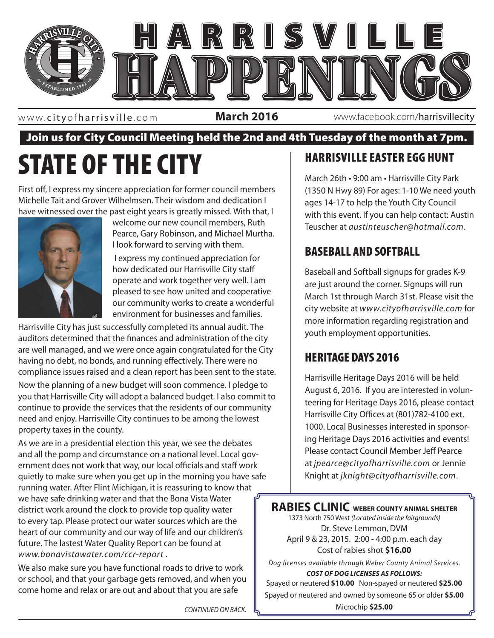

www. cityofharrisville .com

**March 2016** www.facebook.com/harrisvillecity

#### Join us for City Council Meeting held the 2nd and 4th Tuesday of the month at 7pm.

# STATE OF THE CITY

First off, I express my sincere appreciation for former council members Michelle Tait and Grover Wilhelmsen. Their wisdom and dedication I have witnessed over the past eight years is greatly missed. With that, I



welcome our new council members, Ruth Pearce, Gary Robinson, and Michael Murtha. I look forward to serving with them.

 I express my continued appreciation for how dedicated our Harrisville City staff operate and work together very well. I am pleased to see how united and cooperative our community works to create a wonderful environment for businesses and families.

Harrisville City has just successfully completed its annual audit. The measure the courth emi auditors determined that the finances and administration of the city are well managed, and we were once again congratulated for the City having no debt, no bonds, and running effectively. There were no compliance issues raised and a clean report has been sent to the state.

Now the planning of a new budget will soon commence. I pledge to you that Harrisville City will adopt a balanced budget. I also commit to continue to provide the services that the residents of our community need and enjoy. Harrisville City continues to be among the lowest property taxes in the county.

As we are in a presidential election this year, we see the debates and all the pomp and circumstance on a national level. Local government does not work that way, our local officials and staff work quietly to make sure when you get up in the morning you have safe running water. After Flint Michigan, it is reassuring to know that we have safe drinking water and that the Bona Vista Water district work around the clock to provide top quality water to every tap. Please protect our water sources which are the heart of our community and our way of life and our children's future. The lastest Water Quality Report can be found at *www.bonavistawater.com/ccr-report* .

We also make sure you have functional roads to drive to work or school, and that your garbage gets removed, and when you come home and relax or are out and about that you are safe

### HARRISVILLE EASTER EGG HUNT

March 26th • 9:00 am • Harrisville City Park (1350 N Hwy 89) For ages: 1-10 We need youth ages 14-17 to help the Youth City Council with this event. If you can help contact: Austin Teuscher at *austinteuscher@hotmail.com*.

#### BASEBALL AND SOFTBALL

Baseball and Softball signups for grades K-9 are just around the corner. Signups will run March 1st through March 31st. Please visit the city website at *www.cityofharrisville.com* for more information regarding registration and youth employment opportunities.

#### HERITAGE DAYS 2016

Harrisville Heritage Days 2016 will be held August 6, 2016. If you are interested in volunteering for Heritage Days 2016, please contact Harrisville City Offices at (801)782-4100 ext. 1000. Local Businesses interested in sponsoring Heritage Days 2016 activities and events! Please contact Council Member Jeff Pearce at *jpearce@cityofharrisville.com* or Jennie Knight at *jknight@cityofharrisville.com*.

**RABIES CLINIC WEBER COUNTY ANIMAL SHELTER** 1373 North 750 West *(Located inside the fairgrounds)* Dr. Steve Lemmon, DVM April 9 & 23, 2015. 2:00 - 4:00 p.m. each day Cost of rabies shot **\$16.00**

*Dog licenses available through Weber County Animal Services. COST OF DOG LICENSES AS FOLLOWS:*

Spayed or neutered **\$10.00** Non-spayed or neutered **\$25.00** Spayed or neutered and owned by someone 65 or older **\$5.00** Microchip **\$25.00** *CONTINUED ON BACK.*